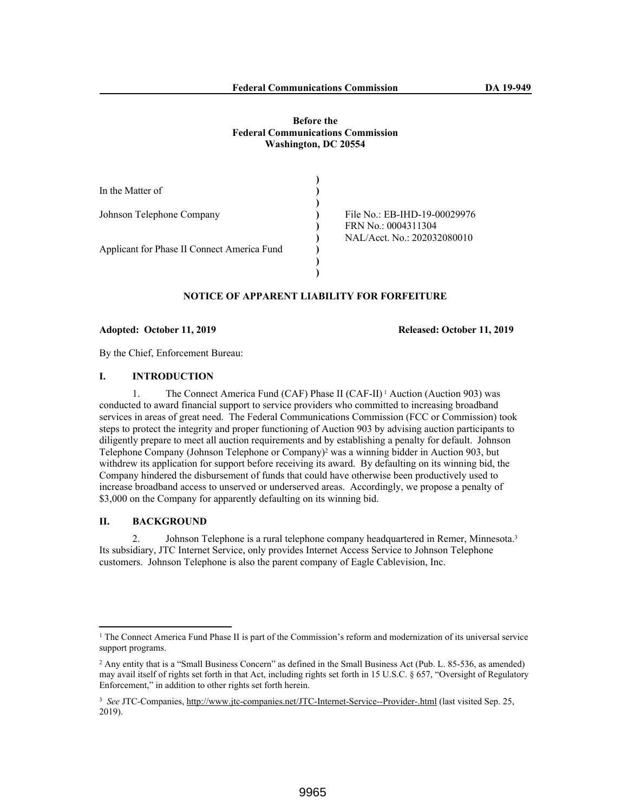#### **Before the Federal Communications Commission Washington, DC 20554**

| In the Matter of                            |                              |
|---------------------------------------------|------------------------------|
|                                             |                              |
| Johnson Telephone Company                   | File No.: EB-IHD-19-00029976 |
|                                             | FRN No.: 0004311304          |
|                                             | NAL/Acct. No.: 202032080010  |
| Applicant for Phase II Connect America Fund |                              |
|                                             |                              |
|                                             |                              |

# **NOTICE OF APPARENT LIABILITY FOR FORFEITURE**

#### **Adopted: October 11, 2019 Released: October 11, 2019**

By the Chief, Enforcement Bureau:

#### **I. INTRODUCTION**

1. The Connect America Fund (CAF) Phase II (CAF-II) 1 Auction (Auction 903) was conducted to award financial support to service providers who committed to increasing broadband services in areas of great need. The Federal Communications Commission (FCC or Commission) took steps to protect the integrity and proper functioning of Auction 903 by advising auction participants to diligently prepare to meet all auction requirements and by establishing a penalty for default. Johnson Telephone Company (Johnson Telephone or Company)<sup>2</sup> was a winning bidder in Auction 903, but withdrew its application for support before receiving its award. By defaulting on its winning bid, the Company hindered the disbursement of funds that could have otherwise been productively used to increase broadband access to unserved or underserved areas. Accordingly, we propose a penalty of \$3,000 on the Company for apparently defaulting on its winning bid.

#### **II. BACKGROUND**

2. Johnson Telephone is a rural telephone company headquartered in Remer, Minnesota.<sup>3</sup> Its subsidiary, JTC Internet Service, only provides Internet Access Service to Johnson Telephone customers. Johnson Telephone is also the parent company of Eagle Cablevision, Inc.

<sup>&</sup>lt;sup>1</sup> The Connect America Fund Phase II is part of the Commission's reform and modernization of its universal service support programs.

<sup>2</sup> Any entity that is a "Small Business Concern" as defined in the Small Business Act (Pub. L. 85-536, as amended) may avail itself of rights set forth in that Act, including rights set forth in 15 U.S.C. § 657, "Oversight of Regulatory Enforcement," in addition to other rights set forth herein.

<sup>3</sup> *See* JTC-Companies, http://www.jtc-companies.net/JTC-Internet-Service--Provider-.html (last visited Sep. 25, 2019).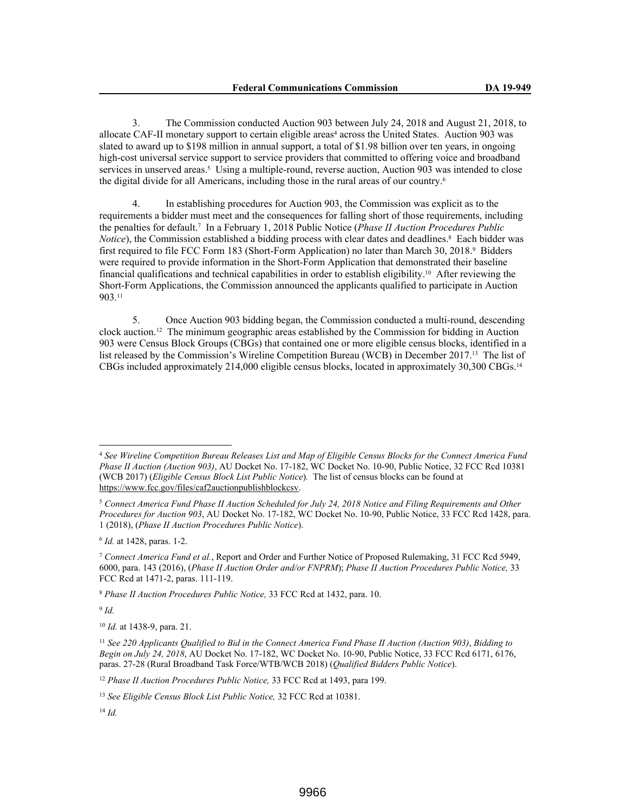3. The Commission conducted Auction 903 between July 24, 2018 and August 21, 2018, to allocate CAF-II monetary support to certain eligible areas<sup>4</sup> across the United States. Auction 903 was slated to award up to \$198 million in annual support, a total of \$1.98 billion over ten years, in ongoing high-cost universal service support to service providers that committed to offering voice and broadband services in unserved areas.<sup>5</sup> Using a multiple-round, reverse auction, Auction 903 was intended to close the digital divide for all Americans, including those in the rural areas of our country.<sup>6</sup>

4. In establishing procedures for Auction 903, the Commission was explicit as to the requirements a bidder must meet and the consequences for falling short of those requirements, including the penalties for default.<sup>7</sup> In a February 1, 2018 Public Notice (*Phase II Auction Procedures Public*  Notice), the Commission established a bidding process with clear dates and deadlines.<sup>8</sup> Each bidder was first required to file FCC Form 183 (Short-Form Application) no later than March 30, 2018.<sup>9</sup> Bidders were required to provide information in the Short-Form Application that demonstrated their baseline financial qualifications and technical capabilities in order to establish eligibility.10 After reviewing the Short-Form Applications, the Commission announced the applicants qualified to participate in Auction 903.<sup>11</sup>

5. Once Auction 903 bidding began, the Commission conducted a multi-round, descending clock auction.12 The minimum geographic areas established by the Commission for bidding in Auction 903 were Census Block Groups (CBGs) that contained one or more eligible census blocks, identified in a list released by the Commission's Wireline Competition Bureau (WCB) in December 2017.13 The list of CBGs included approximately 214,000 eligible census blocks, located in approximately 30,300 CBGs.<sup>14</sup>

6 *Id.* at 1428, paras. 1-2.

9 *Id.*

<sup>12</sup> *Phase II Auction Procedures Public Notice,* 33 FCC Rcd at 1493, para 199.

<sup>4</sup> *See Wireline Competition Bureau Releases List and Map of Eligible Census Blocks for the Connect America Fund Phase II Auction (Auction 903)*, AU Docket No. 17-182, WC Docket No. 10-90, Public Notice, 32 FCC Rcd 10381 (WCB 2017) (*Eligible Census Block List Public Notice*)*.* The list of census blocks can be found at https://www.fcc.gov/files/caf2auctionpublishblockcsv.

<sup>5</sup> *Connect America Fund Phase II Auction Scheduled for July 24, 2018 Notice and Filing Requirements and Other Procedures for Auction 903*, AU Docket No. 17-182, WC Docket No. 10-90, Public Notice, 33 FCC Rcd 1428, para. 1 (2018), (*Phase II Auction Procedures Public Notice*).

<sup>7</sup> *Connect America Fund et al.*, Report and Order and Further Notice of Proposed Rulemaking, 31 FCC Rcd 5949, 6000, para. 143 (2016), (*Phase II Auction Order and/or FNPRM*); *Phase II Auction Procedures Public Notice,* 33 FCC Rcd at 1471-2, paras. 111-119.

<sup>8</sup> *Phase II Auction Procedures Public Notice,* 33 FCC Rcd at 1432, para. 10.

<sup>10</sup> *Id.* at 1438-9, para. 21.

<sup>11</sup> *See 220 Applicants Qualified to Bid in the Connect America Fund Phase II Auction (Auction 903)*, *Bidding to Begin on July 24, 2018*, AU Docket No. 17-182, WC Docket No. 10-90, Public Notice, 33 FCC Rcd 6171, 6176, paras. 27-28 (Rural Broadband Task Force/WTB/WCB 2018) (*Qualified Bidders Public Notice*).

<sup>13</sup> *See Eligible Census Block List Public Notice,* 32 FCC Rcd at 10381.

<sup>14</sup> *Id.*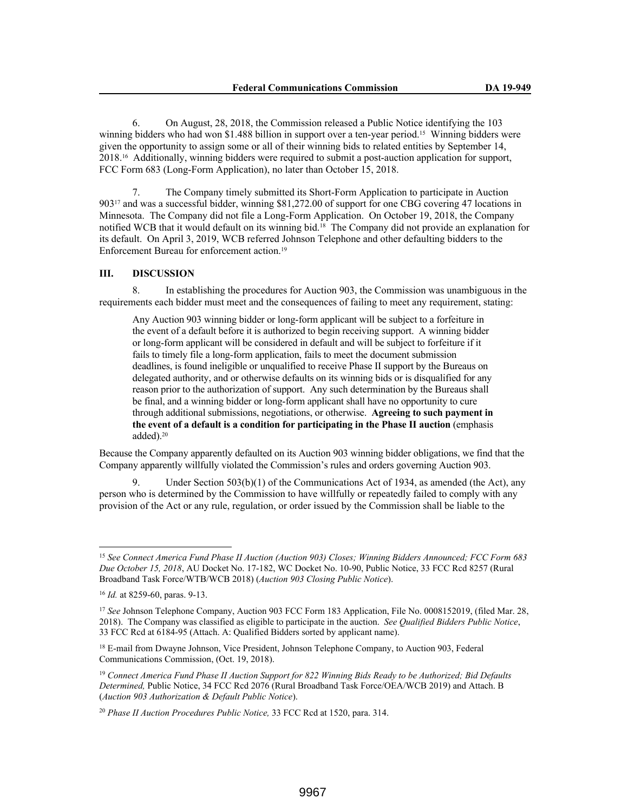6. On August, 28, 2018, the Commission released a Public Notice identifying the 103 winning bidders who had won \$1.488 billion in support over a ten-year period.<sup>15</sup> Winning bidders were given the opportunity to assign some or all of their winning bids to related entities by September 14, 2018.16 Additionally, winning bidders were required to submit a post-auction application for support, FCC Form 683 (Long-Form Application), no later than October 15, 2018.

7. The Company timely submitted its Short-Form Application to participate in Auction 90317 and was a successful bidder, winning \$81,272.00 of support for one CBG covering 47 locations in Minnesota. The Company did not file a Long-Form Application. On October 19, 2018, the Company notified WCB that it would default on its winning bid.18 The Company did not provide an explanation for its default. On April 3, 2019, WCB referred Johnson Telephone and other defaulting bidders to the Enforcement Bureau for enforcement action.<sup>19</sup>

#### **III. DISCUSSION**

8. In establishing the procedures for Auction 903, the Commission was unambiguous in the requirements each bidder must meet and the consequences of failing to meet any requirement, stating:

Any Auction 903 winning bidder or long-form applicant will be subject to a forfeiture in the event of a default before it is authorized to begin receiving support. A winning bidder or long-form applicant will be considered in default and will be subject to forfeiture if it fails to timely file a long-form application, fails to meet the document submission deadlines, is found ineligible or unqualified to receive Phase II support by the Bureaus on delegated authority, and or otherwise defaults on its winning bids or is disqualified for any reason prior to the authorization of support. Any such determination by the Bureaus shall be final, and a winning bidder or long-form applicant shall have no opportunity to cure through additional submissions, negotiations, or otherwise. **Agreeing to such payment in the event of a default is a condition for participating in the Phase II auction** (emphasis added).<sup>20</sup>

Because the Company apparently defaulted on its Auction 903 winning bidder obligations, we find that the Company apparently willfully violated the Commission's rules and orders governing Auction 903.

9. Under Section 503(b)(1) of the Communications Act of 1934, as amended (the Act), any person who is determined by the Commission to have willfully or repeatedly failed to comply with any provision of the Act or any rule, regulation, or order issued by the Commission shall be liable to the

<sup>15</sup> *See Connect America Fund Phase II Auction (Auction 903) Closes; Winning Bidders Announced; FCC Form 683 Due October 15, 2018*, AU Docket No. 17-182, WC Docket No. 10-90, Public Notice, 33 FCC Rcd 8257 (Rural Broadband Task Force/WTB/WCB 2018) (*Auction 903 Closing Public Notice*).

<sup>16</sup> *Id.* at 8259-60, paras. 9-13.

<sup>17</sup> *See* Johnson Telephone Company, Auction 903 FCC Form 183 Application, File No. 0008152019, (filed Mar. 28, 2018). The Company was classified as eligible to participate in the auction. *See Qualified Bidders Public Notice*, 33 FCC Rcd at 6184-95 (Attach. A: Qualified Bidders sorted by applicant name).

<sup>18</sup> E-mail from Dwayne Johnson, Vice President, Johnson Telephone Company, to Auction 903, Federal Communications Commission, (Oct. 19, 2018).

<sup>19</sup> *Connect America Fund Phase II Auction Support for 822 Winning Bids Ready to be Authorized; Bid Defaults Determined,* Public Notice, 34 FCC Rcd 2076 (Rural Broadband Task Force/OEA/WCB 2019) and Attach. B (*Auction 903 Authorization & Default Public Notice*).

<sup>20</sup> *Phase II Auction Procedures Public Notice,* 33 FCC Rcd at 1520, para. 314.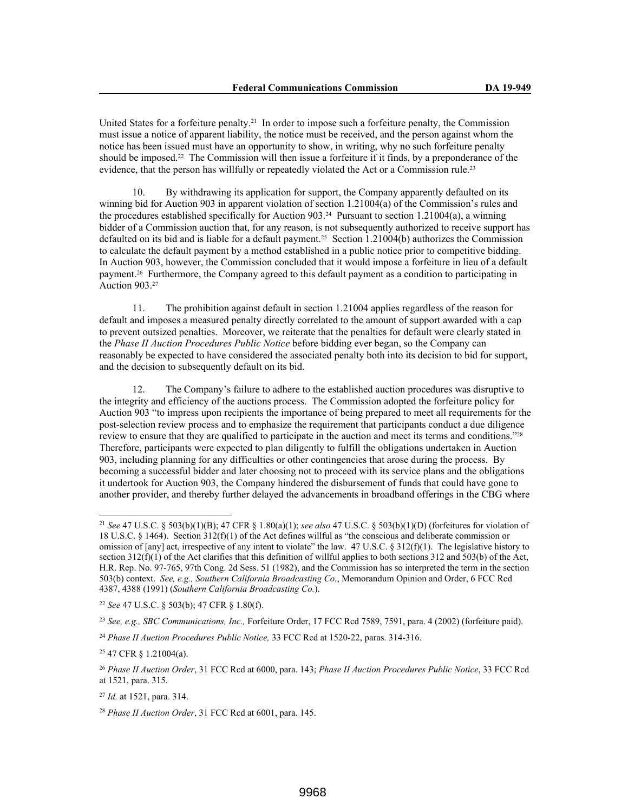United States for a forfeiture penalty.21 In order to impose such a forfeiture penalty, the Commission must issue a notice of apparent liability, the notice must be received, and the person against whom the notice has been issued must have an opportunity to show, in writing, why no such forfeiture penalty should be imposed.22 The Commission will then issue a forfeiture if it finds, by a preponderance of the evidence, that the person has willfully or repeatedly violated the Act or a Commission rule.<sup>23</sup>

10. By withdrawing its application for support, the Company apparently defaulted on its winning bid for Auction 903 in apparent violation of section 1.21004(a) of the Commission's rules and the procedures established specifically for Auction 903.<sup>24</sup> Pursuant to section 1.21004(a), a winning bidder of a Commission auction that, for any reason, is not subsequently authorized to receive support has defaulted on its bid and is liable for a default payment.25 Section 1.21004(b) authorizes the Commission to calculate the default payment by a method established in a public notice prior to competitive bidding. In Auction 903, however, the Commission concluded that it would impose a forfeiture in lieu of a default payment.26 Furthermore, the Company agreed to this default payment as a condition to participating in Auction 903.<sup>27</sup>

11. The prohibition against default in section 1.21004 applies regardless of the reason for default and imposes a measured penalty directly correlated to the amount of support awarded with a cap to prevent outsized penalties. Moreover, we reiterate that the penalties for default were clearly stated in the *Phase II Auction Procedures Public Notice* before bidding ever began, so the Company can reasonably be expected to have considered the associated penalty both into its decision to bid for support, and the decision to subsequently default on its bid.

12. The Company's failure to adhere to the established auction procedures was disruptive to the integrity and efficiency of the auctions process. The Commission adopted the forfeiture policy for Auction 903 "to impress upon recipients the importance of being prepared to meet all requirements for the post-selection review process and to emphasize the requirement that participants conduct a due diligence review to ensure that they are qualified to participate in the auction and meet its terms and conditions."<sup>28</sup> Therefore, participants were expected to plan diligently to fulfill the obligations undertaken in Auction 903, including planning for any difficulties or other contingencies that arose during the process. By becoming a successful bidder and later choosing not to proceed with its service plans and the obligations it undertook for Auction 903, the Company hindered the disbursement of funds that could have gone to another provider, and thereby further delayed the advancements in broadband offerings in the CBG where

<sup>22</sup> *See* 47 U.S.C. § 503(b); 47 CFR § 1.80(f).

<sup>23</sup> *See, e.g., SBC Communications, Inc.,* Forfeiture Order, 17 FCC Rcd 7589, 7591, para. 4 (2002) (forfeiture paid).

<sup>25</sup> 47 CFR § 1.21004(a).

<sup>21</sup> *See* 47 U.S.C. § 503(b)(1)(B); 47 CFR § 1.80(a)(1); *see also* 47 U.S.C. § 503(b)(1)(D) (forfeitures for violation of 18 U.S.C. § 1464). Section 312(f)(1) of the Act defines willful as "the conscious and deliberate commission or omission of [any] act, irrespective of any intent to violate" the law. 47 U.S.C. § 312(f)(1). The legislative history to section  $312(f)(1)$  of the Act clarifies that this definition of willful applies to both sections 312 and 503(b) of the Act, H.R. Rep. No. 97-765, 97th Cong. 2d Sess. 51 (1982), and the Commission has so interpreted the term in the section 503(b) context. *See, e.g., Southern California Broadcasting Co.*, Memorandum Opinion and Order, 6 FCC Rcd 4387, 4388 (1991) (*Southern California Broadcasting Co.*).

<sup>24</sup> *Phase II Auction Procedures Public Notice,* 33 FCC Rcd at 1520-22, paras. 314-316.

<sup>26</sup> *Phase II Auction Order*, 31 FCC Rcd at 6000, para. 143; *Phase II Auction Procedures Public Notice*, 33 FCC Rcd at 1521, para. 315.

<sup>27</sup> *Id.* at 1521, para. 314.

<sup>28</sup> *Phase II Auction Order*, 31 FCC Rcd at 6001, para. 145.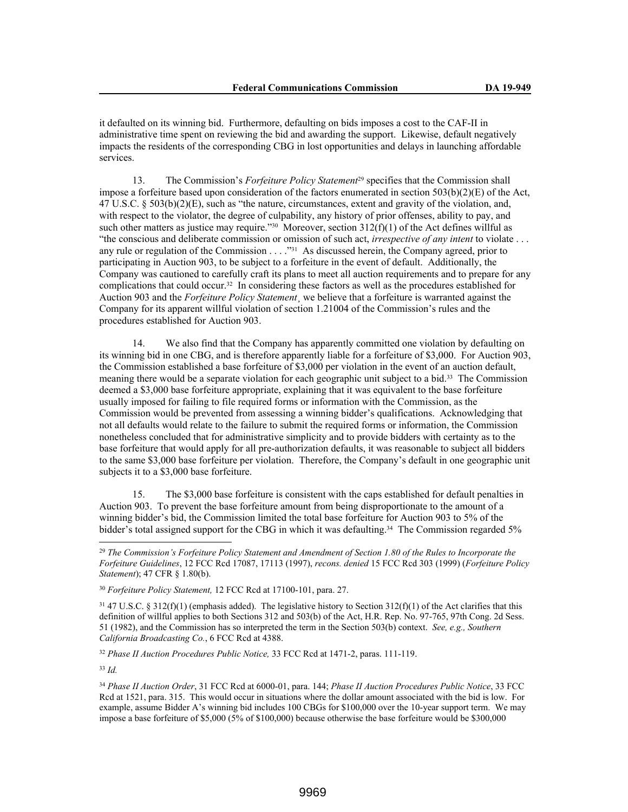it defaulted on its winning bid. Furthermore, defaulting on bids imposes a cost to the CAF-II in administrative time spent on reviewing the bid and awarding the support. Likewise, default negatively impacts the residents of the corresponding CBG in lost opportunities and delays in launching affordable services.

13. The Commission's *Forfeiture Policy Statement*29 specifies that the Commission shall impose a forfeiture based upon consideration of the factors enumerated in section  $503(b)(2)(E)$  of the Act, 47 U.S.C. § 503(b)(2)(E), such as "the nature, circumstances, extent and gravity of the violation, and, with respect to the violator, the degree of culpability, any history of prior offenses, ability to pay, and such other matters as justice may require."<sup>30</sup> Moreover, section  $312(f)(1)$  of the Act defines willful as "the conscious and deliberate commission or omission of such act, *irrespective of any intent* to violate . . . any rule or regulation of the Commission . . . ."31 As discussed herein, the Company agreed, prior to participating in Auction 903, to be subject to a forfeiture in the event of default. Additionally, the Company was cautioned to carefully craft its plans to meet all auction requirements and to prepare for any complications that could occur.32 In considering these factors as well as the procedures established for Auction 903 and the *Forfeiture Policy Statement*¸ we believe that a forfeiture is warranted against the Company for its apparent willful violation of section 1.21004 of the Commission's rules and the procedures established for Auction 903.

14. We also find that the Company has apparently committed one violation by defaulting on its winning bid in one CBG, and is therefore apparently liable for a forfeiture of \$3,000. For Auction 903, the Commission established a base forfeiture of \$3,000 per violation in the event of an auction default, meaning there would be a separate violation for each geographic unit subject to a bid.33 The Commission deemed a \$3,000 base forfeiture appropriate, explaining that it was equivalent to the base forfeiture usually imposed for failing to file required forms or information with the Commission, as the Commission would be prevented from assessing a winning bidder's qualifications. Acknowledging that not all defaults would relate to the failure to submit the required forms or information, the Commission nonetheless concluded that for administrative simplicity and to provide bidders with certainty as to the base forfeiture that would apply for all pre-authorization defaults, it was reasonable to subject all bidders to the same \$3,000 base forfeiture per violation. Therefore, the Company's default in one geographic unit subjects it to a \$3,000 base forfeiture.

15. The \$3,000 base forfeiture is consistent with the caps established for default penalties in Auction 903. To prevent the base forfeiture amount from being disproportionate to the amount of a winning bidder's bid, the Commission limited the total base forfeiture for Auction 903 to 5% of the bidder's total assigned support for the CBG in which it was defaulting.<sup>34</sup> The Commission regarded 5%

<sup>32</sup> *Phase II Auction Procedures Public Notice,* 33 FCC Rcd at 1471-2, paras. 111-119.

<sup>33</sup> *Id.*

<sup>29</sup> *The Commission's Forfeiture Policy Statement and Amendment of Section 1.80 of the Rules to Incorporate the Forfeiture Guidelines*, 12 FCC Rcd 17087, 17113 (1997), *recons. denied* 15 FCC Rcd 303 (1999) (*Forfeiture Policy Statement*); 47 CFR § 1.80(b).

<sup>30</sup> *Forfeiture Policy Statement,* 12 FCC Rcd at 17100-101, para. 27.

 $31\,47\,$  U.S.C. §  $312(f)(1)$  (emphasis added). The legislative history to Section  $312(f)(1)$  of the Act clarifies that this definition of willful applies to both Sections 312 and 503(b) of the Act, H.R. Rep. No. 97-765, 97th Cong. 2d Sess. 51 (1982), and the Commission has so interpreted the term in the Section 503(b) context. *See, e.g., Southern California Broadcasting Co.*, 6 FCC Rcd at 4388.

<sup>34</sup> *Phase II Auction Order*, 31 FCC Rcd at 6000-01, para. 144; *Phase II Auction Procedures Public Notice*, 33 FCC Rcd at 1521, para. 315. This would occur in situations where the dollar amount associated with the bid is low. For example, assume Bidder A's winning bid includes 100 CBGs for \$100,000 over the 10-year support term. We may impose a base forfeiture of \$5,000 (5% of \$100,000) because otherwise the base forfeiture would be \$300,000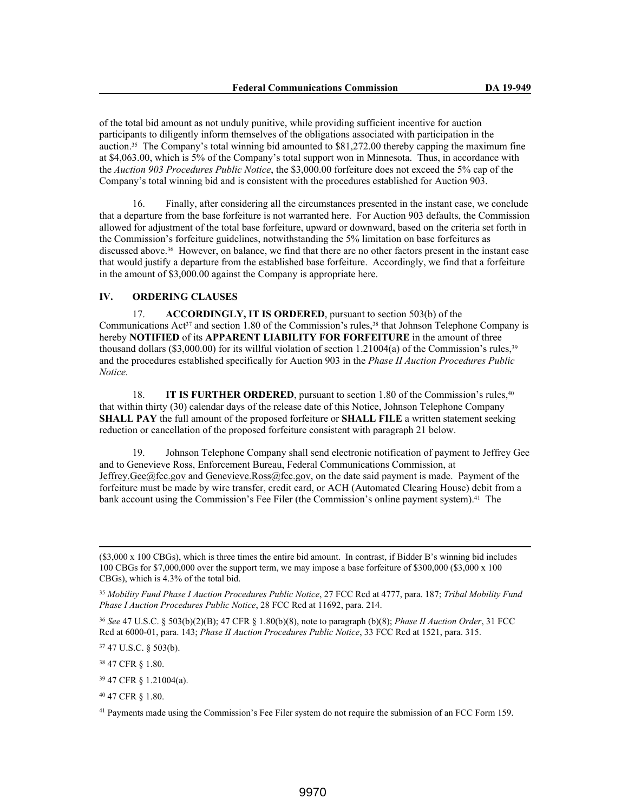of the total bid amount as not unduly punitive, while providing sufficient incentive for auction participants to diligently inform themselves of the obligations associated with participation in the auction.35 The Company's total winning bid amounted to \$81,272.00 thereby capping the maximum fine at \$4,063.00, which is 5% of the Company's total support won in Minnesota. Thus, in accordance with the *Auction 903 Procedures Public Notice*, the \$3,000.00 forfeiture does not exceed the 5% cap of the Company's total winning bid and is consistent with the procedures established for Auction 903.

16. Finally, after considering all the circumstances presented in the instant case, we conclude that a departure from the base forfeiture is not warranted here. For Auction 903 defaults, the Commission allowed for adjustment of the total base forfeiture, upward or downward, based on the criteria set forth in the Commission's forfeiture guidelines, notwithstanding the 5% limitation on base forfeitures as discussed above.36 However, on balance, we find that there are no other factors present in the instant case that would justify a departure from the established base forfeiture. Accordingly, we find that a forfeiture in the amount of \$3,000.00 against the Company is appropriate here.

### **IV. ORDERING CLAUSES**

17. **ACCORDINGLY, IT IS ORDERED**, pursuant to section 503(b) of the Communications  $\text{Act}^{37}$  and section 1.80 of the Commission's rules,<sup>38</sup> that Johnson Telephone Company is hereby **NOTIFIED** of its **APPARENT LIABILITY FOR FORFEITURE** in the amount of three thousand dollars (\$3,000.00) for its willful violation of section 1.21004(a) of the Commission's rules,<sup>39</sup> and the procedures established specifically for Auction 903 in the *Phase II Auction Procedures Public Notice.*

18. **IT IS FURTHER ORDERED**, pursuant to section 1.80 of the Commission's rules,<sup>40</sup> that within thirty (30) calendar days of the release date of this Notice, Johnson Telephone Company **SHALL PAY** the full amount of the proposed forfeiture or **SHALL FILE** a written statement seeking reduction or cancellation of the proposed forfeiture consistent with paragraph 21 below.

19. Johnson Telephone Company shall send electronic notification of payment to Jeffrey Gee and to Genevieve Ross, Enforcement Bureau, Federal Communications Commission, at Jeffrey.Gee@fcc.gov and Genevieve.Ross@fcc.gov, on the date said payment is made. Payment of the forfeiture must be made by wire transfer, credit card, or ACH (Automated Clearing House) debit from a bank account using the Commission's Fee Filer (the Commission's online payment system).<sup>41</sup> The

<sup>36</sup> *See* 47 U.S.C. § 503(b)(2)(B); 47 CFR § 1.80(b)(8), note to paragraph (b)(8); *Phase II Auction Order*, 31 FCC Rcd at 6000-01, para. 143; *Phase II Auction Procedures Public Notice*, 33 FCC Rcd at 1521, para. 315.

<sup>37</sup> 47 U.S.C. § 503(b).

<sup>38</sup> 47 CFR § 1.80.

<sup>39</sup> 47 CFR § 1.21004(a).

<sup>40</sup> 47 CFR § 1.80.

<sup>41</sup> Payments made using the Commission's Fee Filer system do not require the submission of an FCC Form 159.

<sup>(\$3,000</sup> x 100 CBGs), which is three times the entire bid amount. In contrast, if Bidder B's winning bid includes 100 CBGs for \$7,000,000 over the support term, we may impose a base forfeiture of \$300,000 (\$3,000 x 100 CBGs), which is 4.3% of the total bid.

<sup>35</sup> *Mobility Fund Phase I Auction Procedures Public Notice*, 27 FCC Rcd at 4777, para. 187; *Tribal Mobility Fund Phase I Auction Procedures Public Notice*, 28 FCC Rcd at 11692, para. 214.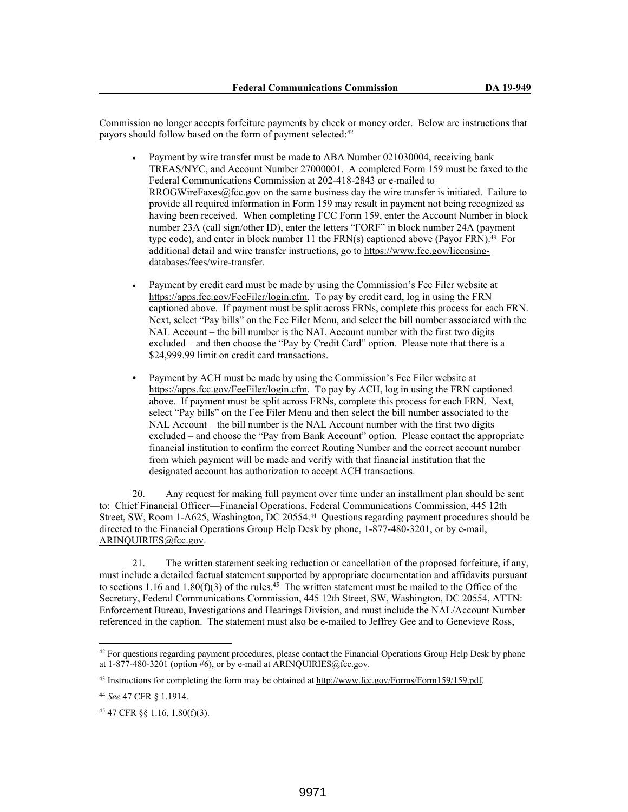Commission no longer accepts forfeiture payments by check or money order. Below are instructions that payors should follow based on the form of payment selected:<sup>42</sup>

- Payment by wire transfer must be made to ABA Number 021030004, receiving bank TREAS/NYC, and Account Number 27000001. A completed Form 159 must be faxed to the Federal Communications Commission at 202-418-2843 or e-mailed to RROGWireFaxes@fcc.gov on the same business day the wire transfer is initiated. Failure to provide all required information in Form 159 may result in payment not being recognized as having been received. When completing FCC Form 159, enter the Account Number in block number 23A (call sign/other ID), enter the letters "FORF" in block number 24A (payment type code), and enter in block number 11 the FRN(s) captioned above (Payor FRN).<sup>43</sup> For additional detail and wire transfer instructions, go to https://www.fcc.gov/licensingdatabases/fees/wire-transfer.
- Payment by credit card must be made by using the Commission's Fee Filer website at https://apps.fcc.gov/FeeFiler/login.cfm. To pay by credit card, log in using the FRN captioned above. If payment must be split across FRNs, complete this process for each FRN. Next, select "Pay bills" on the Fee Filer Menu, and select the bill number associated with the NAL Account – the bill number is the NAL Account number with the first two digits excluded – and then choose the "Pay by Credit Card" option. Please note that there is a \$24,999.99 limit on credit card transactions.
- **•** Payment by ACH must be made by using the Commission's Fee Filer website at https://apps.fcc.gov/FeeFiler/login.cfm. To pay by ACH, log in using the FRN captioned above. If payment must be split across FRNs, complete this process for each FRN. Next, select "Pay bills" on the Fee Filer Menu and then select the bill number associated to the NAL Account – the bill number is the NAL Account number with the first two digits excluded – and choose the "Pay from Bank Account" option. Please contact the appropriate financial institution to confirm the correct Routing Number and the correct account number from which payment will be made and verify with that financial institution that the designated account has authorization to accept ACH transactions.

20. Any request for making full payment over time under an installment plan should be sent to: Chief Financial Officer—Financial Operations, Federal Communications Commission, 445 12th Street, SW, Room 1-A625, Washington, DC 20554.44 Questions regarding payment procedures should be directed to the Financial Operations Group Help Desk by phone, 1-877-480-3201, or by e-mail, ARINQUIRIES@fcc.gov.

21. The written statement seeking reduction or cancellation of the proposed forfeiture, if any, must include a detailed factual statement supported by appropriate documentation and affidavits pursuant to sections 1.16 and 1.80(f)(3) of the rules.<sup>45</sup> The written statement must be mailed to the Office of the Secretary, Federal Communications Commission, 445 12th Street, SW, Washington, DC 20554, ATTN: Enforcement Bureau, Investigations and Hearings Division, and must include the NAL/Account Number referenced in the caption. The statement must also be e-mailed to Jeffrey Gee and to Genevieve Ross,

<sup>&</sup>lt;sup>42</sup> For questions regarding payment procedures, please contact the Financial Operations Group Help Desk by phone at  $1-877-480-3201$  (option #6), or by e-mail at ARINQUIRIES@fcc.gov.

<sup>43</sup> Instructions for completing the form may be obtained at http://www.fcc.gov/Forms/Form159/159.pdf.

<sup>44</sup> *See* 47 CFR § 1.1914.

<sup>45</sup> 47 CFR §§ 1.16, 1.80(f)(3).